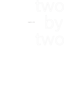

eugene a. kim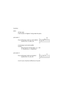### Inventory

#### piano

- lid fully open
- mark location of highest f string inside the piano

### percussion 1

 - four small gongs (with two soft mallets): tuned to D3, F3, Bb3, G4



- record player and small amplifier
- record:
	- String Quartet in B-flat Major, op. 130 V. Cavatina by L.V. Beethoven

percussion 2

 - four small gongs (with two brushes): tuned to D3, F3, G3, D4



- two tin cans (maximum difference of sound)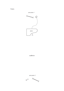**Staging** 

percussion 1



audience

percussion 2

Home of the contract of  $\circ$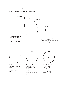# General notes for reading

Keep all sounds continuous from juncture to juncture.

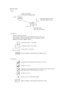# Special notes

Piano



## Percussion 1

Volume controls for record:

The maximum volume for all swells should remain the same, just barely audible within the ensemble texture; the minimum volume should be just barely audible in silence.



## Percussion 2



sustained, quick brushing with one brush, on tin can 1



as above, tin can 2



sustained crunch produced by slowly twisting a brush with one hand and holding it down with the other, on tin can 1



as above, tin can 2



tremolo on tin can with both brushes



hollow noteheads: strike gongs with brushes, let ring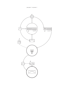percussion 1, movement 1

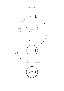percussion 1, movement 2

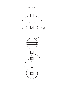percussion 2, movement 1

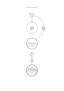percussion 2, movement 2

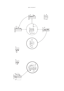piano, movement 1